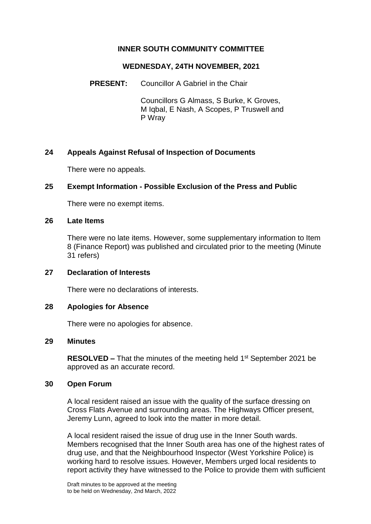# **INNER SOUTH COMMUNITY COMMITTEE**

#### **WEDNESDAY, 24TH NOVEMBER, 2021**

**PRESENT:** Councillor A Gabriel in the Chair

Councillors G Almass, S Burke, K Groves, M Iqbal, E Nash, A Scopes, P Truswell and P Wray

# **24 Appeals Against Refusal of Inspection of Documents**

There were no appeals.

### **25 Exempt Information - Possible Exclusion of the Press and Public**

There were no exempt items.

#### **26 Late Items**

There were no late items. However, some supplementary information to Item 8 (Finance Report) was published and circulated prior to the meeting (Minute 31 refers)

### **27 Declaration of Interests**

There were no declarations of interests.

### **28 Apologies for Absence**

There were no apologies for absence.

#### **29 Minutes**

**RESOLVED –** That the minutes of the meeting held 1<sup>st</sup> September 2021 be approved as an accurate record.

### **30 Open Forum**

A local resident raised an issue with the quality of the surface dressing on Cross Flats Avenue and surrounding areas. The Highways Officer present, Jeremy Lunn, agreed to look into the matter in more detail.

A local resident raised the issue of drug use in the Inner South wards. Members recognised that the Inner South area has one of the highest rates of drug use, and that the Neighbourhood Inspector (West Yorkshire Police) is working hard to resolve issues. However, Members urged local residents to report activity they have witnessed to the Police to provide them with sufficient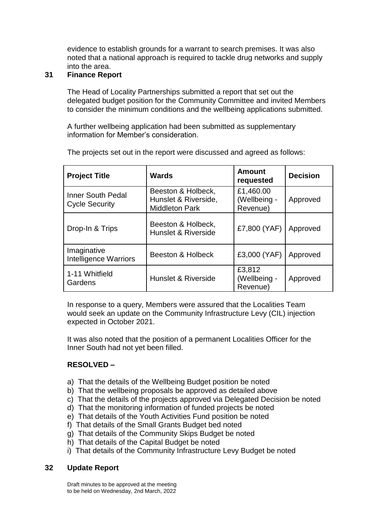evidence to establish grounds for a warrant to search premises. It was also noted that a national approach is required to tackle drug networks and supply into the area.

# **31 Finance Report**

The Head of Locality Partnerships submitted a report that set out the delegated budget position for the Community Committee and invited Members to consider the minimum conditions and the wellbeing applications submitted.

A further wellbeing application had been submitted as supplementary information for Member's consideration.

| <b>Project Title</b>                              | <b>Wards</b>                                                        | <b>Amount</b><br>requested            | <b>Decision</b> |
|---------------------------------------------------|---------------------------------------------------------------------|---------------------------------------|-----------------|
| <b>Inner South Pedal</b><br><b>Cycle Security</b> | Beeston & Holbeck,<br>Hunslet & Riverside,<br><b>Middleton Park</b> | £1,460.00<br>(Wellbeing -<br>Revenue) | Approved        |
| Drop-In & Trips                                   | Beeston & Holbeck,<br>Hunslet & Riverside                           | £7,800 (YAF)                          | Approved        |
| Imaginative<br><b>Intelligence Warriors</b>       | Beeston & Holbeck                                                   | £3,000 (YAF)                          | Approved        |
| 1-11 Whitfield<br>Gardens                         | Hunslet & Riverside                                                 | £3,812<br>(Wellbeing -<br>Revenue)    | Approved        |

The projects set out in the report were discussed and agreed as follows:

In response to a query, Members were assured that the Localities Team would seek an update on the Community Infrastructure Levy (CIL) injection expected in October 2021.

It was also noted that the position of a permanent Localities Officer for the Inner South had not yet been filled.

# **RESOLVED –**

- a) That the details of the Wellbeing Budget position be noted
- b) That the wellbeing proposals be approved as detailed above
- c) That the details of the projects approved via Delegated Decision be noted
- d) That the monitoring information of funded projects be noted
- e) That details of the Youth Activities Fund position be noted
- f) That details of the Small Grants Budget bed noted
- g) That details of the Community Skips Budget be noted
- h) That details of the Capital Budget be noted
- i) That details of the Community Infrastructure Levy Budget be noted

### **32 Update Report**

Draft minutes to be approved at the meeting to be held on Wednesday, 2nd March, 2022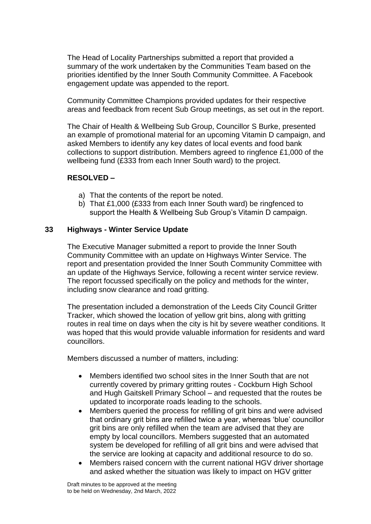The Head of Locality Partnerships submitted a report that provided a summary of the work undertaken by the Communities Team based on the priorities identified by the Inner South Community Committee. A Facebook engagement update was appended to the report.

Community Committee Champions provided updates for their respective areas and feedback from recent Sub Group meetings, as set out in the report.

The Chair of Health & Wellbeing Sub Group, Councillor S Burke, presented an example of promotional material for an upcoming Vitamin D campaign, and asked Members to identify any key dates of local events and food bank collections to support distribution. Members agreed to ringfence £1,000 of the wellbeing fund (£333 from each Inner South ward) to the project.

### **RESOLVED –**

- a) That the contents of the report be noted.
- b) That £1,000 (£333 from each Inner South ward) be ringfenced to support the Health & Wellbeing Sub Group's Vitamin D campaign.

### **33 Highways - Winter Service Update**

The Executive Manager submitted a report to provide the Inner South Community Committee with an update on Highways Winter Service. The report and presentation provided the Inner South Community Committee with an update of the Highways Service, following a recent winter service review. The report focussed specifically on the policy and methods for the winter, including snow clearance and road gritting.

The presentation included a demonstration of the Leeds City Council Gritter Tracker, which showed the location of yellow grit bins, along with gritting routes in real time on days when the city is hit by severe weather conditions. It was hoped that this would provide valuable information for residents and ward councillors.

Members discussed a number of matters, including:

- Members identified two school sites in the Inner South that are not currently covered by primary gritting routes - Cockburn High School and Hugh Gaitskell Primary School – and requested that the routes be updated to incorporate roads leading to the schools.
- Members queried the process for refilling of grit bins and were advised that ordinary grit bins are refilled twice a year, whereas 'blue' councillor grit bins are only refilled when the team are advised that they are empty by local councillors. Members suggested that an automated system be developed for refilling of all grit bins and were advised that the service are looking at capacity and additional resource to do so.
- Members raised concern with the current national HGV driver shortage and asked whether the situation was likely to impact on HGV gritter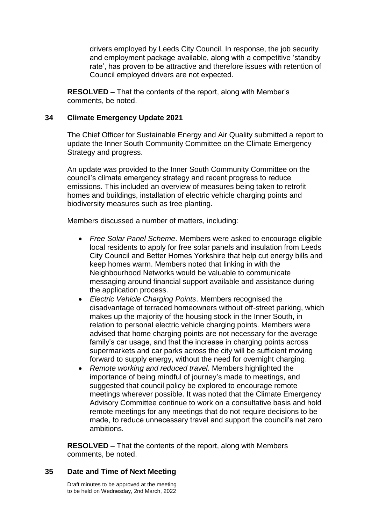drivers employed by Leeds City Council. In response, the job security and employment package available, along with a competitive 'standby rate', has proven to be attractive and therefore issues with retention of Council employed drivers are not expected.

**RESOLVED –** That the contents of the report, along with Member's comments, be noted.

#### **34 Climate Emergency Update 2021**

The Chief Officer for Sustainable Energy and Air Quality submitted a report to update the Inner South Community Committee on the Climate Emergency Strategy and progress.

An update was provided to the Inner South Community Committee on the council's climate emergency strategy and recent progress to reduce emissions. This included an overview of measures being taken to retrofit homes and buildings, installation of electric vehicle charging points and biodiversity measures such as tree planting.

Members discussed a number of matters, including:

- *Free Solar Panel Scheme*. Members were asked to encourage eligible local residents to apply for free solar panels and insulation from Leeds City Council and Better Homes Yorkshire that help cut energy bills and keep homes warm. Members noted that linking in with the Neighbourhood Networks would be valuable to communicate messaging around financial support available and assistance during the application process.
- *Electric Vehicle Charging Points*. Members recognised the disadvantage of terraced homeowners without off-street parking, which makes up the majority of the housing stock in the Inner South, in relation to personal electric vehicle charging points. Members were advised that home charging points are not necessary for the average family's car usage, and that the increase in charging points across supermarkets and car parks across the city will be sufficient moving forward to supply energy, without the need for overnight charging.
- *Remote working and reduced travel.* Members highlighted the importance of being mindful of journey's made to meetings, and suggested that council policy be explored to encourage remote meetings wherever possible. It was noted that the Climate Emergency Advisory Committee continue to work on a consultative basis and hold remote meetings for any meetings that do not require decisions to be made, to reduce unnecessary travel and support the council's net zero ambitions.

**RESOLVED –** That the contents of the report, along with Members comments, be noted.

### **35 Date and Time of Next Meeting**

Draft minutes to be approved at the meeting to be held on Wednesday, 2nd March, 2022